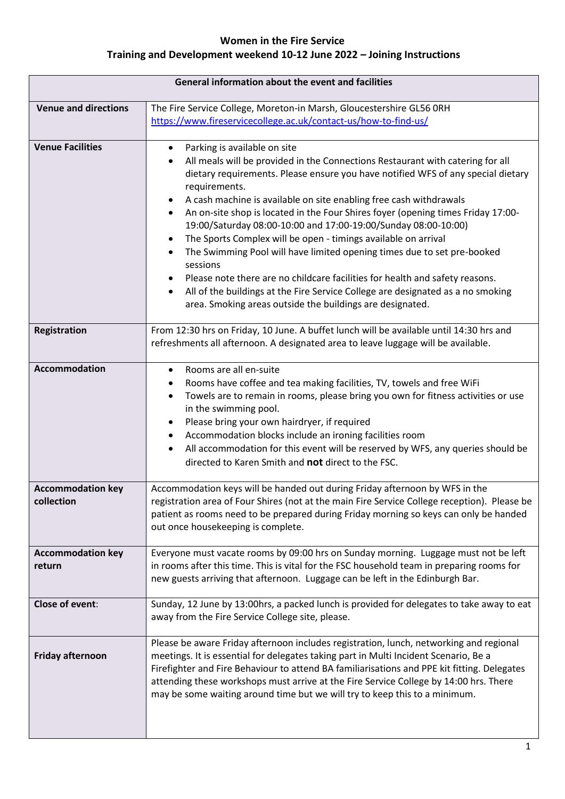| General information about the event and facilities |                                                                                                                                                                                                                                                                                                                                                                                                                                                                                                                                                                                                                                                                                                                                                                                                                                                                    |
|----------------------------------------------------|--------------------------------------------------------------------------------------------------------------------------------------------------------------------------------------------------------------------------------------------------------------------------------------------------------------------------------------------------------------------------------------------------------------------------------------------------------------------------------------------------------------------------------------------------------------------------------------------------------------------------------------------------------------------------------------------------------------------------------------------------------------------------------------------------------------------------------------------------------------------|
| <b>Venue and directions</b>                        | The Fire Service College, Moreton-in Marsh, Gloucestershire GL56 0RH<br>https://www.fireservicecollege.ac.uk/contact-us/how-to-find-us/                                                                                                                                                                                                                                                                                                                                                                                                                                                                                                                                                                                                                                                                                                                            |
| <b>Venue Facilities</b>                            | Parking is available on site<br>$\bullet$<br>All meals will be provided in the Connections Restaurant with catering for all<br>dietary requirements. Please ensure you have notified WFS of any special dietary<br>requirements.<br>A cash machine is available on site enabling free cash withdrawals<br>An on-site shop is located in the Four Shires foyer (opening times Friday 17:00-<br>$\bullet$<br>19:00/Saturday 08:00-10:00 and 17:00-19:00/Sunday 08:00-10:00)<br>The Sports Complex will be open - timings available on arrival<br>The Swimming Pool will have limited opening times due to set pre-booked<br>sessions<br>Please note there are no childcare facilities for health and safety reasons.<br>All of the buildings at the Fire Service College are designated as a no smoking<br>area. Smoking areas outside the buildings are designated. |
| <b>Registration</b>                                | From 12:30 hrs on Friday, 10 June. A buffet lunch will be available until 14:30 hrs and<br>refreshments all afternoon. A designated area to leave luggage will be available.                                                                                                                                                                                                                                                                                                                                                                                                                                                                                                                                                                                                                                                                                       |
| <b>Accommodation</b>                               | Rooms are all en-suite<br>$\bullet$<br>Rooms have coffee and tea making facilities, TV, towels and free WiFi<br>٠<br>Towels are to remain in rooms, please bring you own for fitness activities or use<br>$\bullet$<br>in the swimming pool.<br>Please bring your own hairdryer, if required<br>Accommodation blocks include an ironing facilities room<br>All accommodation for this event will be reserved by WFS, any queries should be<br>$\bullet$<br>directed to Karen Smith and not direct to the FSC.                                                                                                                                                                                                                                                                                                                                                      |
| <b>Accommodation key</b><br>collection             | Accommodation keys will be handed out during Friday afternoon by WFS in the<br>registration area of Four Shires (not at the main Fire Service College reception). Please be<br>patient as rooms need to be prepared during Friday morning so keys can only be handed<br>out once housekeeping is complete.                                                                                                                                                                                                                                                                                                                                                                                                                                                                                                                                                         |
| <b>Accommodation key</b><br>return                 | Everyone must vacate rooms by 09:00 hrs on Sunday morning. Luggage must not be left<br>in rooms after this time. This is vital for the FSC household team in preparing rooms for<br>new guests arriving that afternoon. Luggage can be left in the Edinburgh Bar.                                                                                                                                                                                                                                                                                                                                                                                                                                                                                                                                                                                                  |
| Close of event:                                    | Sunday, 12 June by 13:00hrs, a packed lunch is provided for delegates to take away to eat<br>away from the Fire Service College site, please.                                                                                                                                                                                                                                                                                                                                                                                                                                                                                                                                                                                                                                                                                                                      |
| <b>Friday afternoon</b>                            | Please be aware Friday afternoon includes registration, lunch, networking and regional<br>meetings. It is essential for delegates taking part in Multi Incident Scenario, Be a<br>Firefighter and Fire Behaviour to attend BA familiarisations and PPE kit fitting. Delegates<br>attending these workshops must arrive at the Fire Service College by 14:00 hrs. There<br>may be some waiting around time but we will try to keep this to a minimum.                                                                                                                                                                                                                                                                                                                                                                                                               |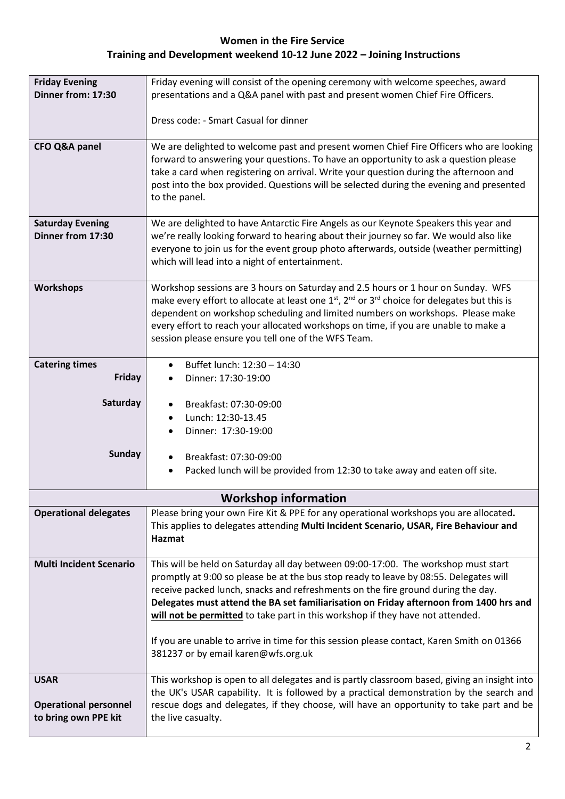| <b>Friday Evening</b><br>Dinner from: 17:30          | Friday evening will consist of the opening ceremony with welcome speeches, award<br>presentations and a Q&A panel with past and present women Chief Fire Officers.                                                                                                                                                                                                                  |  |
|------------------------------------------------------|-------------------------------------------------------------------------------------------------------------------------------------------------------------------------------------------------------------------------------------------------------------------------------------------------------------------------------------------------------------------------------------|--|
|                                                      | Dress code: - Smart Casual for dinner                                                                                                                                                                                                                                                                                                                                               |  |
|                                                      |                                                                                                                                                                                                                                                                                                                                                                                     |  |
| <b>CFO Q&amp;A panel</b>                             | We are delighted to welcome past and present women Chief Fire Officers who are looking<br>forward to answering your questions. To have an opportunity to ask a question please<br>take a card when registering on arrival. Write your question during the afternoon and<br>post into the box provided. Questions will be selected during the evening and presented<br>to the panel. |  |
| <b>Saturday Evening</b>                              | We are delighted to have Antarctic Fire Angels as our Keynote Speakers this year and                                                                                                                                                                                                                                                                                                |  |
| Dinner from 17:30                                    | we're really looking forward to hearing about their journey so far. We would also like                                                                                                                                                                                                                                                                                              |  |
|                                                      | everyone to join us for the event group photo afterwards, outside (weather permitting)<br>which will lead into a night of entertainment.                                                                                                                                                                                                                                            |  |
| <b>Workshops</b>                                     | Workshop sessions are 3 hours on Saturday and 2.5 hours or 1 hour on Sunday. WFS                                                                                                                                                                                                                                                                                                    |  |
|                                                      | make every effort to allocate at least one 1 <sup>st</sup> , 2 <sup>nd</sup> or 3 <sup>rd</sup> choice for delegates but this is<br>dependent on workshop scheduling and limited numbers on workshops. Please make<br>every effort to reach your allocated workshops on time, if you are unable to make a<br>session please ensure you tell one of the WFS Team.                    |  |
|                                                      |                                                                                                                                                                                                                                                                                                                                                                                     |  |
| <b>Catering times</b>                                | Buffet lunch: 12:30 - 14:30                                                                                                                                                                                                                                                                                                                                                         |  |
| Friday                                               | Dinner: 17:30-19:00                                                                                                                                                                                                                                                                                                                                                                 |  |
|                                                      |                                                                                                                                                                                                                                                                                                                                                                                     |  |
| Saturday                                             | Breakfast: 07:30-09:00                                                                                                                                                                                                                                                                                                                                                              |  |
|                                                      | Lunch: 12:30-13.45                                                                                                                                                                                                                                                                                                                                                                  |  |
|                                                      | Dinner: 17:30-19:00                                                                                                                                                                                                                                                                                                                                                                 |  |
| <b>Sunday</b>                                        | Breakfast: 07:30-09:00                                                                                                                                                                                                                                                                                                                                                              |  |
|                                                      | Packed lunch will be provided from 12:30 to take away and eaten off site.<br>$\bullet$                                                                                                                                                                                                                                                                                              |  |
|                                                      |                                                                                                                                                                                                                                                                                                                                                                                     |  |
|                                                      | <b>Workshop information</b>                                                                                                                                                                                                                                                                                                                                                         |  |
| <b>Operational delegates</b>                         | Please bring your own Fire Kit & PPE for any operational workshops you are allocated.                                                                                                                                                                                                                                                                                               |  |
|                                                      | This applies to delegates attending Multi Incident Scenario, USAR, Fire Behaviour and                                                                                                                                                                                                                                                                                               |  |
|                                                      | Hazmat                                                                                                                                                                                                                                                                                                                                                                              |  |
|                                                      |                                                                                                                                                                                                                                                                                                                                                                                     |  |
| <b>Multi Incident Scenario</b>                       | This will be held on Saturday all day between 09:00-17:00. The workshop must start<br>promptly at 9:00 so please be at the bus stop ready to leave by 08:55. Delegates will                                                                                                                                                                                                         |  |
|                                                      | receive packed lunch, snacks and refreshments on the fire ground during the day.                                                                                                                                                                                                                                                                                                    |  |
|                                                      | Delegates must attend the BA set familiarisation on Friday afternoon from 1400 hrs and                                                                                                                                                                                                                                                                                              |  |
|                                                      | will not be permitted to take part in this workshop if they have not attended.                                                                                                                                                                                                                                                                                                      |  |
|                                                      |                                                                                                                                                                                                                                                                                                                                                                                     |  |
|                                                      | If you are unable to arrive in time for this session please contact, Karen Smith on 01366<br>381237 or by email karen@wfs.org.uk                                                                                                                                                                                                                                                    |  |
| <b>USAR</b>                                          | This workshop is open to all delegates and is partly classroom based, giving an insight into                                                                                                                                                                                                                                                                                        |  |
|                                                      | the UK's USAR capability. It is followed by a practical demonstration by the search and                                                                                                                                                                                                                                                                                             |  |
| <b>Operational personnel</b><br>to bring own PPE kit | rescue dogs and delegates, if they choose, will have an opportunity to take part and be<br>the live casualty.                                                                                                                                                                                                                                                                       |  |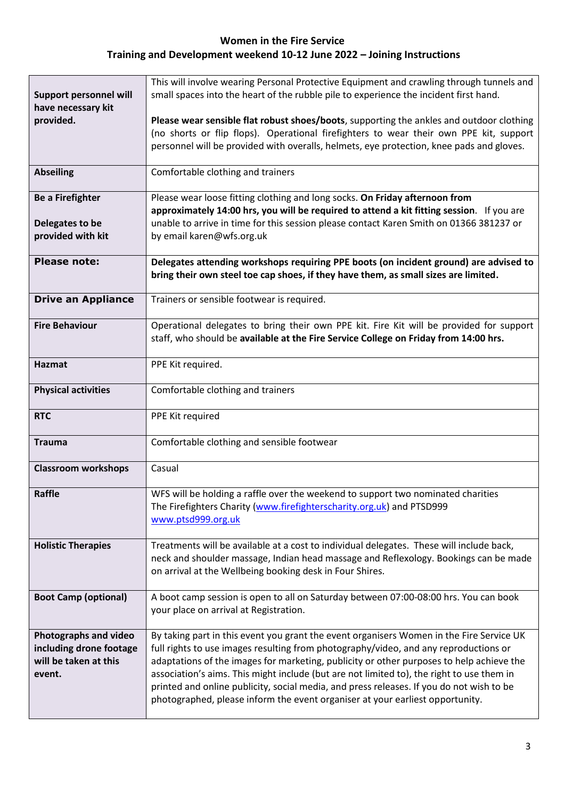| <b>Support personnel will</b><br>have necessary kit                                 | This will involve wearing Personal Protective Equipment and crawling through tunnels and<br>small spaces into the heart of the rubble pile to experience the incident first hand.                                                                                                                                                                                                                                                                                                                                                                      |
|-------------------------------------------------------------------------------------|--------------------------------------------------------------------------------------------------------------------------------------------------------------------------------------------------------------------------------------------------------------------------------------------------------------------------------------------------------------------------------------------------------------------------------------------------------------------------------------------------------------------------------------------------------|
| provided.                                                                           | Please wear sensible flat robust shoes/boots, supporting the ankles and outdoor clothing<br>(no shorts or flip flops). Operational firefighters to wear their own PPE kit, support<br>personnel will be provided with overalls, helmets, eye protection, knee pads and gloves.                                                                                                                                                                                                                                                                         |
| <b>Abseiling</b>                                                                    | Comfortable clothing and trainers                                                                                                                                                                                                                                                                                                                                                                                                                                                                                                                      |
| <b>Be a Firefighter</b><br>Delegates to be<br>provided with kit                     | Please wear loose fitting clothing and long socks. On Friday afternoon from<br>approximately 14:00 hrs, you will be required to attend a kit fitting session. If you are<br>unable to arrive in time for this session please contact Karen Smith on 01366 381237 or<br>by email karen@wfs.org.uk                                                                                                                                                                                                                                                       |
| <b>Please note:</b>                                                                 | Delegates attending workshops requiring PPE boots (on incident ground) are advised to<br>bring their own steel toe cap shoes, if they have them, as small sizes are limited.                                                                                                                                                                                                                                                                                                                                                                           |
| <b>Drive an Appliance</b>                                                           | Trainers or sensible footwear is required.                                                                                                                                                                                                                                                                                                                                                                                                                                                                                                             |
| <b>Fire Behaviour</b>                                                               | Operational delegates to bring their own PPE kit. Fire Kit will be provided for support<br>staff, who should be available at the Fire Service College on Friday from 14:00 hrs.                                                                                                                                                                                                                                                                                                                                                                        |
| <b>Hazmat</b>                                                                       | PPE Kit required.                                                                                                                                                                                                                                                                                                                                                                                                                                                                                                                                      |
| <b>Physical activities</b>                                                          | Comfortable clothing and trainers                                                                                                                                                                                                                                                                                                                                                                                                                                                                                                                      |
| <b>RTC</b>                                                                          | PPE Kit required                                                                                                                                                                                                                                                                                                                                                                                                                                                                                                                                       |
| <b>Trauma</b>                                                                       | Comfortable clothing and sensible footwear                                                                                                                                                                                                                                                                                                                                                                                                                                                                                                             |
| <b>Classroom workshops</b>                                                          | Casual                                                                                                                                                                                                                                                                                                                                                                                                                                                                                                                                                 |
| Raffle                                                                              | WFS will be holding a raffle over the weekend to support two nominated charities<br>The Firefighters Charity (www.firefighterscharity.org.uk) and PTSD999<br>www.ptsd999.org.uk                                                                                                                                                                                                                                                                                                                                                                        |
| <b>Holistic Therapies</b>                                                           | Treatments will be available at a cost to individual delegates. These will include back,<br>neck and shoulder massage, Indian head massage and Reflexology. Bookings can be made<br>on arrival at the Wellbeing booking desk in Four Shires.                                                                                                                                                                                                                                                                                                           |
| <b>Boot Camp (optional)</b>                                                         | A boot camp session is open to all on Saturday between 07:00-08:00 hrs. You can book<br>your place on arrival at Registration.                                                                                                                                                                                                                                                                                                                                                                                                                         |
| Photographs and video<br>including drone footage<br>will be taken at this<br>event. | By taking part in this event you grant the event organisers Women in the Fire Service UK<br>full rights to use images resulting from photography/video, and any reproductions or<br>adaptations of the images for marketing, publicity or other purposes to help achieve the<br>association's aims. This might include (but are not limited to), the right to use them in<br>printed and online publicity, social media, and press releases. If you do not wish to be<br>photographed, please inform the event organiser at your earliest opportunity. |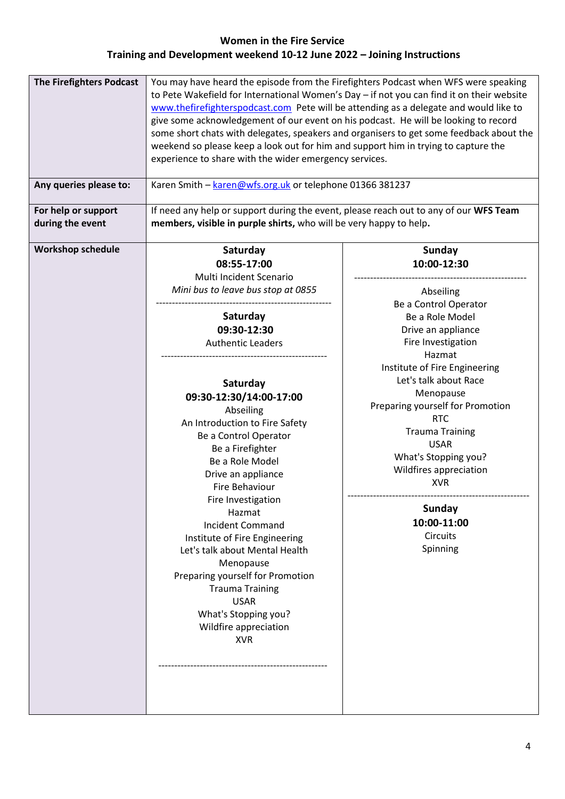| <b>Workshop schedule</b><br>Saturday<br>Sunday<br>08:55-17:00<br>10:00-12:30<br>Multi Incident Scenario<br>Mini bus to leave bus stop at 0855<br>Abseiling<br>Be a Control Operator<br>Saturday<br>Be a Role Model<br>09:30-12:30<br>Drive an appliance                                                                                                                                                                                                                                                                                                                                                                                                                                                                                                                               | <b>The Firefighters Podcast</b><br>Any queries please to:<br>For help or support<br>during the event | You may have heard the episode from the Firefighters Podcast when WFS were speaking<br>to Pete Wakefield for International Women's Day - if not you can find it on their website<br>www.thefirefighterspodcast.com Pete will be attending as a delegate and would like to<br>give some acknowledgement of our event on his podcast. He will be looking to record<br>some short chats with delegates, speakers and organisers to get some feedback about the<br>weekend so please keep a look out for him and support him in trying to capture the<br>experience to share with the wider emergency services.<br>Karen Smith - karen@wfs.org.uk or telephone 01366 381237<br>If need any help or support during the event, please reach out to any of our WFS Team<br>members, visible in purple shirts, who will be very happy to help. |                    |
|---------------------------------------------------------------------------------------------------------------------------------------------------------------------------------------------------------------------------------------------------------------------------------------------------------------------------------------------------------------------------------------------------------------------------------------------------------------------------------------------------------------------------------------------------------------------------------------------------------------------------------------------------------------------------------------------------------------------------------------------------------------------------------------|------------------------------------------------------------------------------------------------------|----------------------------------------------------------------------------------------------------------------------------------------------------------------------------------------------------------------------------------------------------------------------------------------------------------------------------------------------------------------------------------------------------------------------------------------------------------------------------------------------------------------------------------------------------------------------------------------------------------------------------------------------------------------------------------------------------------------------------------------------------------------------------------------------------------------------------------------|--------------------|
| Hazmat<br>Institute of Fire Engineering<br>Let's talk about Race<br>Saturday<br>Menopause<br>09:30-12:30/14:00-17:00<br>Preparing yourself for Promotion<br>Abseiling<br><b>RTC</b><br>An Introduction to Fire Safety<br><b>Trauma Training</b><br>Be a Control Operator<br><b>USAR</b><br>Be a Firefighter<br>What's Stopping you?<br>Be a Role Model<br>Wildfires appreciation<br>Drive an appliance<br><b>XVR</b><br>Fire Behaviour<br>Fire Investigation<br><b>Sunday</b><br>Hazmat<br>10:00-11:00<br><b>Incident Command</b><br>Circuits<br>Institute of Fire Engineering<br>Spinning<br>Let's talk about Mental Health<br>Menopause<br>Preparing yourself for Promotion<br><b>Trauma Training</b><br><b>USAR</b><br>What's Stopping you?<br>Wildfire appreciation<br><b>XVR</b> |                                                                                                      | <b>Authentic Leaders</b>                                                                                                                                                                                                                                                                                                                                                                                                                                                                                                                                                                                                                                                                                                                                                                                                               | Fire Investigation |